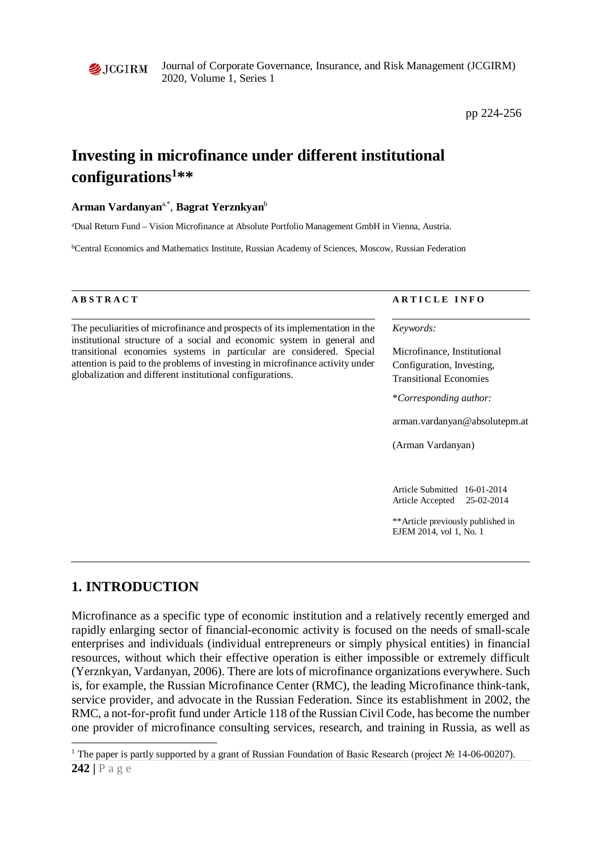

Journal of Corporate Governance, Insurance, and Risk Management (JCGIRM) 2020, Volume 1, Series 1

pp 224-256

# **Investing in microfinance under different institutional configurations[1](#page-0-0) \*\***

#### **Arman Vardanyan**a,\*, **Bagrat Yerznkyan**<sup>b</sup>

a Dual Return Fund – Vision Microfinance at Absolute Portfolio Management GmbH in Vienna, Austria.

b Central Economics and Mathematics Institute, Russian Academy of Sciences, Moscow, Russian Federation

The peculiarities of microfinance and prospects of its implementation in the institutional structure of a social and economic system in general and transitional economies systems in particular are considered. Special attention is paid to the problems of investing in microfinance activity under globalization and different institutional configurations.

#### **A B S T R A C T A R T I C L E I N F O**

*Keywords:*

Microfinance, Institutional Configuration, Investing, Transitional Economies

\**Corresponding author:* 

arman.vardanyan@absolutepm.at

(Arman Vardanyan)

Article Submitted 16-01-2014 Article Accepted 25-02-2014

\*\*Article previously published in EJEM 2014, vol 1, No. 1

#### **1. INTRODUCTION**

 $\overline{a}$ 

Microfinance as a specific type of economic institution and a relatively recently emerged and rapidly enlarging sector of financial-economic activity is focused on the needs of small-scale enterprises and individuals (individual entrepreneurs or simply physical entities) in financial resources, without which their effective operation is either impossible or extremely difficult (Yerznkyan, Vardanyan, 2006). There are lots of microfinance organizations everywhere. Such is, for example, the Russian Microfinance Center (RMC), the leading Microfinance think-tank, service provider, and advocate in the Russian Federation. Since its establishment in 2002, the RMC, a not-for-profit fund under Article 118 of the Russian Civil Code, has become the number one provider of microfinance consulting services, research, and training in Russia, as well as

<span id="page-0-0"></span>**<sup>242</sup> |** Page <sup>1</sup> The paper is partly supported by a grant of Russian Foundation of Basic Research (project № 14-06-00207).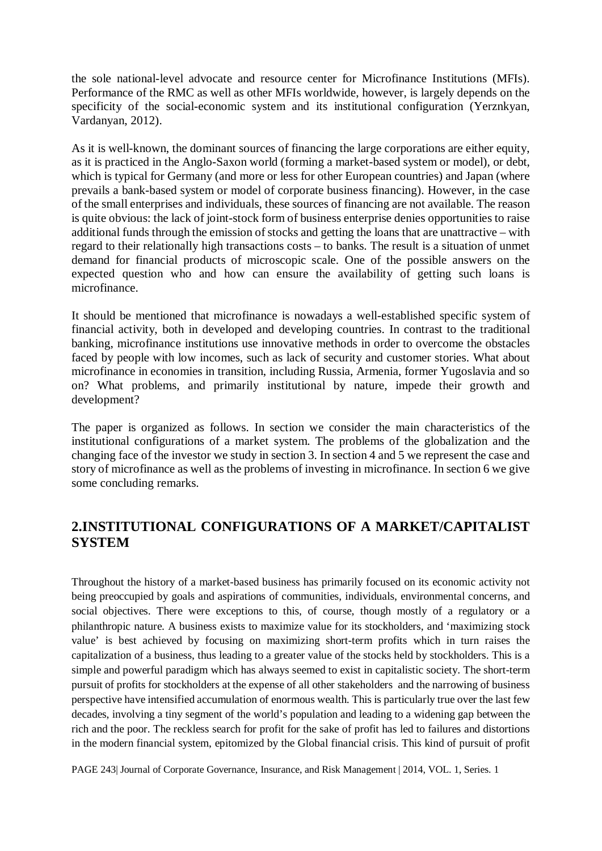the sole national-level advocate and resource center for Microfinance Institutions (MFIs). Performance of the RMC as well as other MFIs worldwide, however, is largely depends on the specificity of the social-economic system and its institutional configuration (Yerznkyan, Vardanyan, 2012).

As it is well-known, the dominant sources of financing the large corporations are either equity, as it is practiced in the Anglo-Saxon world (forming a market-based system or model), or debt, which is typical for Germany (and more or less for other European countries) and Japan (where prevails a bank-based system or model of corporate business financing). However, in the case of the small enterprises and individuals, these sources of financing are not available. The reason is quite obvious: the lack of joint-stock form of business enterprise denies opportunities to raise additional funds through the emission of stocks and getting the loans that are unattractive – with regard to their relationally high transactions costs – to banks. The result is a situation of unmet demand for financial products of microscopic scale. One of the possible answers on the expected question who and how can ensure the availability of getting such loans is microfinance.

It should be mentioned that microfinance is nowadays a well-established specific system of financial activity, both in developed and developing countries. In contrast to the traditional banking, microfinance institutions use innovative methods in order to overcome the obstacles faced by people with low incomes, such as lack of security and customer stories. What about microfinance in economies in transition, including Russia, Armenia, former Yugoslavia and so on? What problems, and primarily institutional by nature, impede their growth and development?

The paper is organized as follows. In section we consider the main characteristics of the institutional configurations of a market system. The problems of the globalization and the changing face of the investor we study in section 3. In section 4 and 5 we represent the case and story of microfinance as well as the problems of investing in microfinance. In section 6 we give some concluding remarks.

## **2.INSTITUTIONAL CONFIGURATIONS OF A MARKET/CAPITALIST SYSTEM**

Throughout the history of a market-based business has primarily focused on its economic activity not being preoccupied by goals and aspirations of communities, individuals, environmental concerns, and social objectives. There were exceptions to this, of course, though mostly of a regulatory or a philanthropic nature. A business exists to maximize value for its stockholders, and 'maximizing stock value' is best achieved by focusing on maximizing short-term profits which in turn raises the capitalization of a business, thus leading to a greater value of the stocks held by stockholders. This is a simple and powerful paradigm which has always seemed to exist in capitalistic society. The short-term pursuit of profits for stockholders at the expense of all other stakeholders and the narrowing of business perspective have intensified accumulation of enormous wealth. This is particularly true over the last few decades, involving a tiny segment of the world's population and leading to a widening gap between the rich and the poor. The reckless search for profit for the sake of profit has led to failures and distortions in the modern financial system, epitomized by the Global financial crisis. This kind of pursuit of profit

PAGE 243| Journal of Corporate Governance, Insurance, and Risk Management | 2014, VOL. 1, Series. 1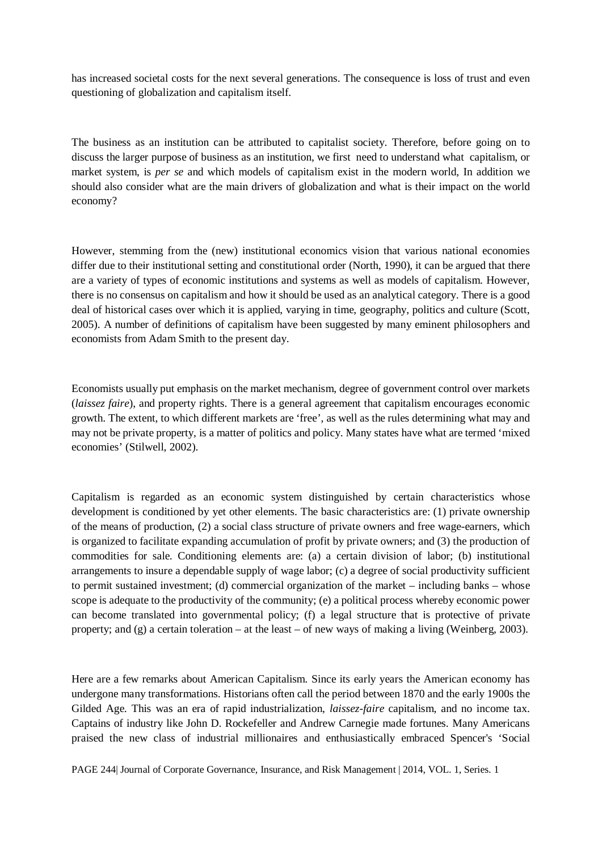has increased societal costs for the next several generations. The consequence is loss of trust and even questioning of globalization and capitalism itself.

The business as an institution can be attributed to capitalist society. Therefore, before going on to discuss the larger purpose of business as an institution, we first need to understand what capitalism, or market system, is *per se* and which models of capitalism exist in the modern world, In addition we should also consider what are the main drivers of globalization and what is their impact on the world economy?

However, stemming from the (new) institutional economics vision that various national economies differ due to their institutional setting and constitutional order (North, 1990), it can be argued that there are a variety of types of economic institutions and systems as well as models of capitalism. However, there is no consensus on capitalism and how it should be used as an analytical category. There is a good deal of historical cases over which it is applied, varying in time, geography, politics and culture (Scott, 2005). A number of definitions of capitalism have been suggested by many eminent philosophers and economists from Adam Smith to the present day.

Economists usually put emphasis on the market mechanism, degree of government control over markets (*laissez faire*), and property rights. There is a general agreement that capitalism encourages economic growth. The extent, to which different markets are 'free', as well as the rules determining what may and may not be private property, is a matter of politics and policy. Many states have what are termed 'mixed economies' (Stilwell, 2002).

Capitalism is regarded as an economic system distinguished by certain characteristics whose development is conditioned by yet other elements. The basic characteristics are: (1) private ownership of the means of production, (2) a social class structure of private owners and free wage-earners, which is organized to facilitate expanding accumulation of profit by private owners; and (3) the production of commodities for sale. Conditioning elements are: (a) a certain division of labor; (b) institutional arrangements to insure a dependable supply of wage labor; (c) a degree of social productivity sufficient to permit sustained investment; (d) commercial organization of the market – including banks – whose scope is adequate to the productivity of the community; (e) a political process whereby economic power can become translated into governmental policy; (f) a legal structure that is protective of private property; and (g) a certain toleration – at the least – of new ways of making a living (Weinberg, 2003).

Here are a few remarks about American Capitalism. Since its early years the American economy has undergone many transformations. Historians often call the period between 1870 and the early 1900s the Gilded Age. This was an era of rapid industrialization, *laissez-faire* capitalism, and no income tax. Captains of industry like John D. Rockefeller and Andrew Carnegie made fortunes. Many Americans praised the new class of industrial millionaires and enthusiastically embraced Spencer's 'Social

PAGE 244| Journal of Corporate Governance, Insurance, and Risk Management | 2014, VOL. 1, Series. 1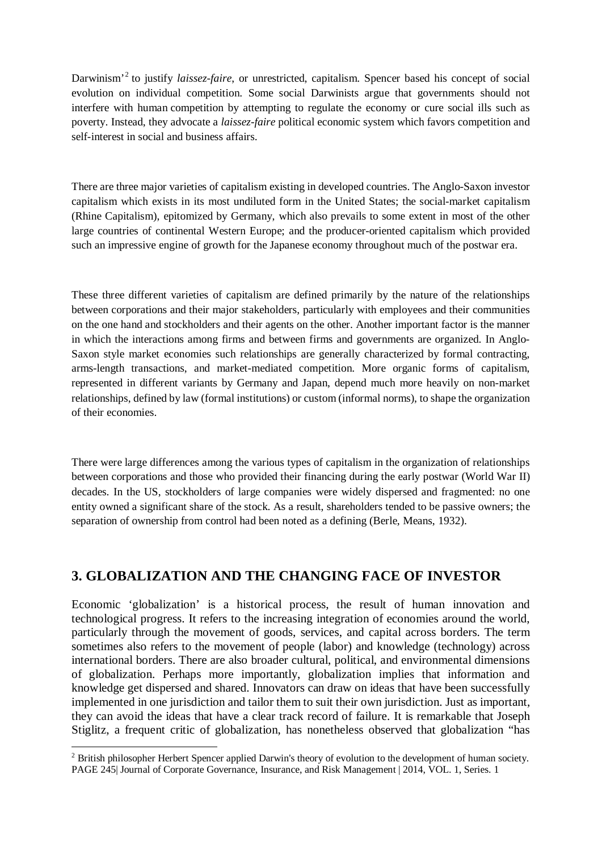Darwinism'[2](#page-3-0) to justify *laissez-faire*, or unrestricted, capitalism. Spencer based his concept of social evolution on individual competition. Some social Darwinists argue that governments should not interfere with human competition by attempting to regulate the economy or cure social ills such as poverty. Instead, they advocate a *laissez-faire* political economic system which favors competition and self-interest in social and business affairs.

There are three major varieties of capitalism existing in developed countries. The Anglo-Saxon investor capitalism which exists in its most undiluted form in the United States; the social-market capitalism (Rhine Capitalism), epitomized by Germany, which also prevails to some extent in most of the other large countries of continental Western Europe; and the producer-oriented capitalism which provided such an impressive engine of growth for the Japanese economy throughout much of the postwar era.

These three different varieties of capitalism are defined primarily by the nature of the relationships between corporations and their major stakeholders, particularly with employees and their communities on the one hand and stockholders and their agents on the other. Another important factor is the manner in which the interactions among firms and between firms and governments are organized. In Anglo-Saxon style market economies such relationships are generally characterized by formal contracting, arms-length transactions, and market-mediated competition. More organic forms of capitalism, represented in different variants by Germany and Japan, depend much more heavily on non-market relationships, defined by law (formal institutions) or custom (informal norms), to shape the organization of their economies.

There were large differences among the various types of capitalism in the organization of relationships between corporations and those who provided their financing during the early postwar (World War II) decades. In the US, stockholders of large companies were widely dispersed and fragmented: no one entity owned a significant share of the stock. As a result, shareholders tended to be passive owners; the separation of ownership from control had been noted as a defining (Berle, Means, 1932).

## **3. GLOBALIZATION AND THE CHANGING FACE OF INVESTOR**

Economic 'globalization' is a historical process, the result of human innovation and technological progress. It refers to the increasing integration of economies around the world, particularly through the movement of goods, services, and capital across borders. The term sometimes also refers to the movement of people (labor) and knowledge (technology) across international borders. There are also broader cultural, political, and environmental dimensions of globalization. Perhaps more importantly, globalization implies that information and knowledge get dispersed and shared. Innovators can draw on ideas that have been successfully implemented in one jurisdiction and tailor them to suit their own jurisdiction. Just as important, they can avoid the ideas that have a clear track record of failure. It is remarkable that Joseph Stiglitz, a frequent critic of globalization, has nonetheless observed that globalization "has

 $\overline{a}$ 

<span id="page-3-0"></span>PAGE 245| Journal of Corporate Governance, Insurance, and Risk Management | 2014, VOL. 1, Series. 1 <sup>2</sup> British philosopher Herbert Spencer applied Darwin's theory of evolution to the development of human society.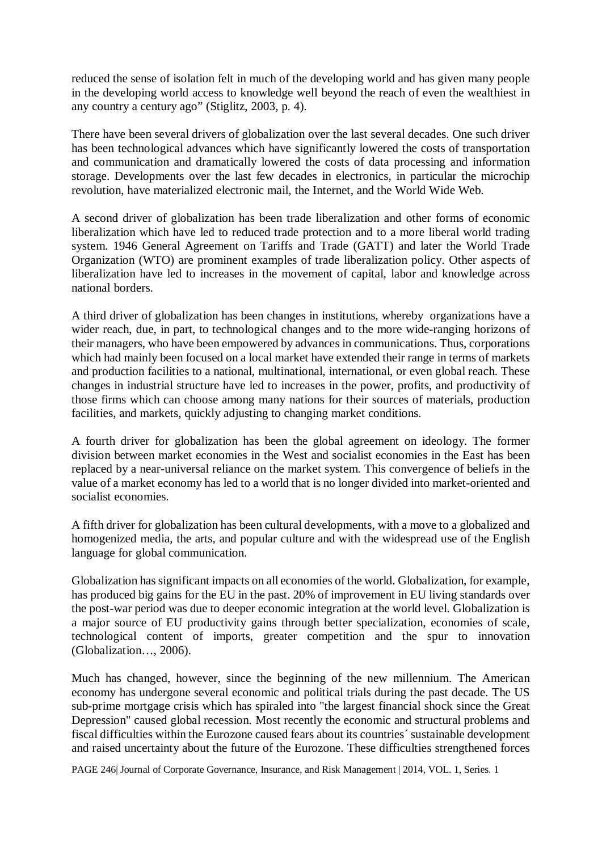reduced the sense of isolation felt in much of the developing world and has given many people in the developing world access to knowledge well beyond the reach of even the wealthiest in any country a century ago" (Stiglitz, 2003, p. 4).

There have been several drivers of globalization over the last several decades. One such driver has been technological advances which have significantly lowered the costs of transportation and communication and dramatically lowered the costs of data processing and information storage. Developments over the last few decades in electronics, in particular the microchip revolution, have materialized electronic mail, the Internet, and the World Wide Web.

A second driver of globalization has been trade liberalization and other forms of economic liberalization which have led to reduced trade protection and to a more liberal world trading system. 1946 General Agreement on Tariffs and Trade (GATT) and later the World Trade Organization (WTO) are prominent examples of trade liberalization policy. Other aspects of liberalization have led to increases in the movement of capital, labor and knowledge across national borders.

A third driver of globalization has been changes in institutions, whereby organizations have a wider reach, due, in part, to technological changes and to the more wide-ranging horizons of their managers, who have been empowered by advances in communications. Thus, corporations which had mainly been focused on a local market have extended their range in terms of markets and production facilities to a national, multinational, international, or even global reach. These changes in industrial structure have led to increases in the power, profits, and productivity of those firms which can choose among many nations for their sources of materials, production facilities, and markets, quickly adjusting to changing market conditions.

A fourth driver for globalization has been the global agreement on ideology. The former division between market economies in the West and socialist economies in the East has been replaced by a near-universal reliance on the market system. This convergence of beliefs in the value of a market economy has led to a world that is no longer divided into market-oriented and socialist economies.

A fifth driver for globalization has been cultural developments, with a move to a globalized and homogenized media, the arts, and popular culture and with the widespread use of the English language for global communication.

Globalization has significant impacts on all economies of the world. Globalization, for example, has produced big gains for the EU in the past. 20% of improvement in EU living standards over the post-war period was due to deeper economic integration at the world level. Globalization is a major source of EU productivity gains through better specialization, economies of scale, technological content of imports, greater competition and the spur to innovation (Globalization…, 2006).

Much has changed, however, since the beginning of the new millennium. The American economy has undergone several economic and political trials during the past decade. The US sub-prime mortgage crisis which has spiraled into "the largest financial shock since the Great Depression" caused global recession. Most recently the economic and structural problems and fiscal difficulties within the Eurozone caused fears about its countries´ sustainable development and raised uncertainty about the future of the Eurozone. These difficulties strengthened forces

PAGE 246| Journal of Corporate Governance, Insurance, and Risk Management | 2014, VOL. 1, Series. 1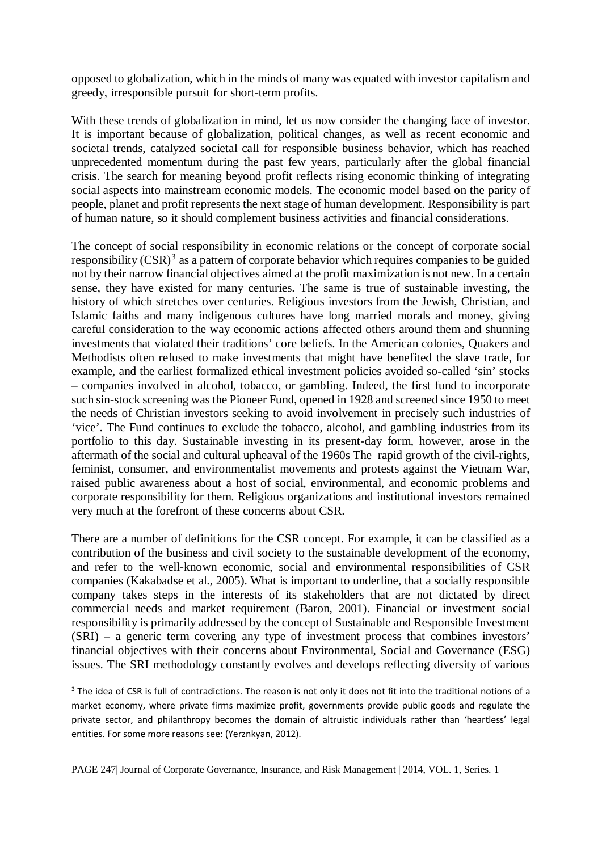opposed to globalization, which in the minds of many was equated with investor capitalism and greedy, irresponsible pursuit for short-term profits.

With these trends of globalization in mind, let us now consider the changing face of investor. It is important because of globalization, political changes, as well as recent economic and societal trends, catalyzed societal call for responsible business behavior, which has reached unprecedented momentum during the past few years, particularly after the global financial crisis. The search for meaning beyond profit reflects rising economic thinking of integrating social aspects into mainstream economic models. The economic model based on the parity of people, planet and profit represents the next stage of human development. Responsibility is part of human nature, so it should complement business activities and financial considerations.

The concept of social responsibility in economic relations or the concept of corporate social responsibility  $(CSR)^3$  $(CSR)^3$  as a pattern of corporate behavior which requires companies to be guided not by their narrow financial objectives aimed at the profit maximization is not new. In a certain sense, they have existed for many centuries. The same is true of sustainable investing, the history of which stretches over centuries. Religious investors from the Jewish, Christian, and Islamic faiths and many indigenous cultures have long married morals and money, giving careful consideration to the way economic actions affected others around them and shunning investments that violated their traditions' core beliefs. In the American colonies, Quakers and Methodists often refused to make investments that might have benefited the slave trade, for example, and the earliest formalized ethical investment policies avoided so-called 'sin' stocks – companies involved in alcohol, tobacco, or gambling. Indeed, the first fund to incorporate such sin-stock screening was the Pioneer Fund, opened in 1928 and screened since 1950 to meet the needs of Christian investors seeking to avoid involvement in precisely such industries of 'vice'. The Fund continues to exclude the tobacco, alcohol, and gambling industries from its portfolio to this day. Sustainable investing in its present-day form, however, arose in the aftermath of the social and cultural upheaval of the 1960s The rapid growth of the civil-rights, feminist, consumer, and environmentalist movements and protests against the Vietnam War, raised public awareness about a host of social, environmental, and economic problems and corporate responsibility for them. Religious organizations and institutional investors remained very much at the forefront of these concerns about CSR.

There are a number of definitions for the CSR concept. For example, it can be classified as a contribution of the business and civil society to the sustainable development of the economy, and refer to the well-known economic, social and environmental responsibilities of CSR companies (Kakabadse et al., 2005). What is important to underline, that a socially responsible company takes steps in the interests of its stakeholders that are not dictated by direct commercial needs and market requirement (Baron, 2001). Financial or investment social responsibility is primarily addressed by the concept of Sustainable and Responsible Investment (SRI) – a generic term covering any type of investment process that combines investors' financial objectives with their concerns about Environmental, Social and Governance (ESG) issues. The SRI methodology constantly evolves and develops reflecting diversity of various

<span id="page-5-0"></span> $3$  The idea of CSR is full of contradictions. The reason is not only it does not fit into the traditional notions of a market economy, where private firms maximize profit, governments provide public goods and regulate the private sector, and philanthropy becomes the domain of altruistic individuals rather than 'heartless' legal entities. For some more reasons see: (Yerznkyan, 2012).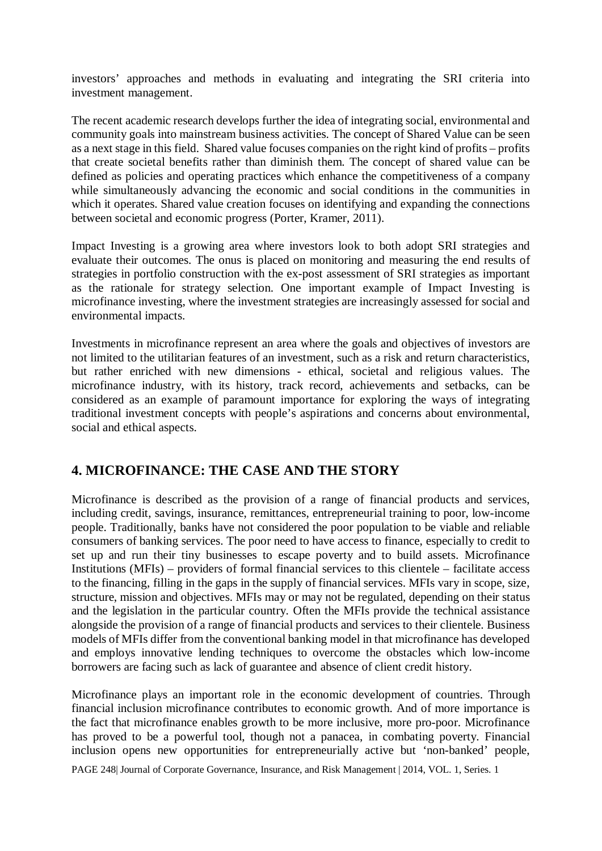investors' approaches and methods in evaluating and integrating the SRI criteria into investment management.

The recent academic research develops further the idea of integrating social, environmental and community goals into mainstream business activities. The concept of Shared Value can be seen as a next stage in this field. Shared value focuses companies on the right kind of profits – profits that create societal benefits rather than diminish them. The concept of shared value can be defined as policies and operating practices which enhance the competitiveness of a company while simultaneously advancing the economic and social conditions in the communities in which it operates. Shared value creation focuses on identifying and expanding the connections between societal and economic progress (Porter, Kramer, 2011).

Impact Investing is a growing area where investors look to both adopt SRI strategies and evaluate their outcomes. The onus is placed on monitoring and measuring the end results of strategies in portfolio construction with the ex-post assessment of SRI strategies as important as the rationale for strategy selection. One important example of Impact Investing is microfinance investing, where the investment strategies are increasingly assessed for social and environmental impacts.

Investments in microfinance represent an area where the goals and objectives of investors are not limited to the utilitarian features of an investment, such as a risk and return characteristics, but rather enriched with new dimensions - ethical, societal and religious values. The microfinance industry, with its history, track record, achievements and setbacks, can be considered as an example of paramount importance for exploring the ways of integrating traditional investment concepts with people's aspirations and concerns about environmental, social and ethical aspects.

## **4. MICROFINANCE: THE CASE AND THE STORY**

Microfinance is described as the provision of a range of financial products and services, including credit, savings, insurance, remittances, entrepreneurial training to poor, low-income people. Traditionally, banks have not considered the poor population to be viable and reliable consumers of banking services. The poor need to have access to finance, especially to credit to set up and run their tiny businesses to escape poverty and to build assets. Microfinance Institutions (MFIs) – providers of formal financial services to this clientele – facilitate access to the financing, filling in the gaps in the supply of financial services. MFIs vary in scope, size, structure, mission and objectives. MFIs may or may not be regulated, depending on their status and the legislation in the particular country. Often the MFIs provide the technical assistance alongside the provision of a range of financial products and services to their clientele. Business models of MFIs differ from the conventional banking model in that microfinance has developed and employs innovative lending techniques to overcome the obstacles which low-income borrowers are facing such as lack of guarantee and absence of client credit history.

Microfinance plays an important role in the economic development of countries. Through financial inclusion microfinance contributes to economic growth. And of more importance is the fact that microfinance enables growth to be more inclusive, more pro-poor. Microfinance has proved to be a powerful tool, though not a panacea, in combating poverty. Financial inclusion opens new opportunities for entrepreneurially active but 'non-banked' people,

PAGE 248| Journal of Corporate Governance, Insurance, and Risk Management | 2014, VOL. 1, Series. 1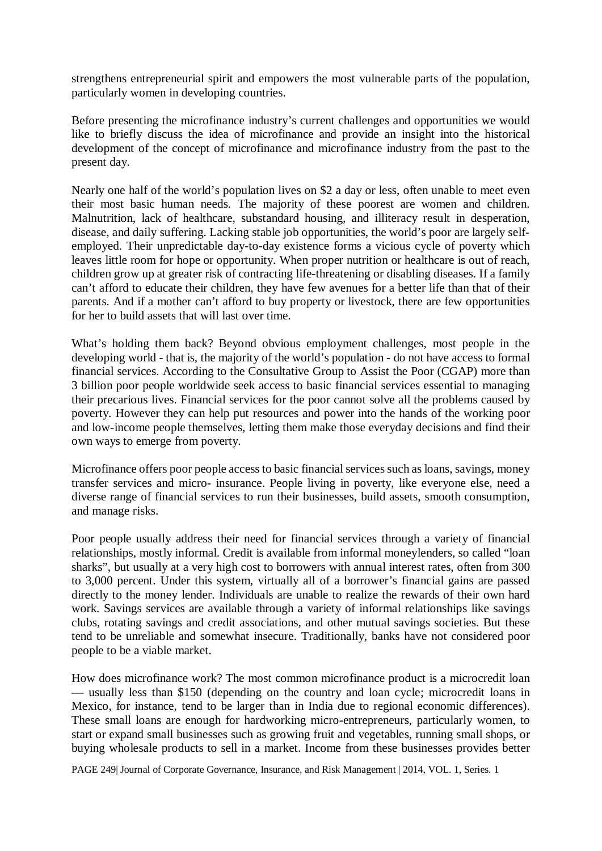strengthens entrepreneurial spirit and empowers the most vulnerable parts of the population, particularly women in developing countries.

Before presenting the microfinance industry's current challenges and opportunities we would like to briefly discuss the idea of microfinance and provide an insight into the historical development of the concept of microfinance and microfinance industry from the past to the present day.

Nearly one half of the world's population lives on \$2 a day or less, often unable to meet even their most basic human needs. The majority of these poorest are women and children. Malnutrition, lack of healthcare, substandard housing, and illiteracy result in desperation, disease, and daily suffering. Lacking stable job opportunities, the world's poor are largely selfemployed. Their unpredictable day-to-day existence forms a vicious cycle of poverty which leaves little room for hope or opportunity. When proper nutrition or healthcare is out of reach, children grow up at greater risk of contracting life-threatening or disabling diseases. If a family can't afford to educate their children, they have few avenues for a better life than that of their parents. And if a mother can't afford to buy property or livestock, there are few opportunities for her to build assets that will last over time.

What's holding them back? Beyond obvious employment challenges, most people in the developing world - that is, the majority of the world's population - do not have access to formal financial services. According to the Consultative Group to Assist the Poor (CGAP) more than 3 billion poor people worldwide seek access to basic financial services essential to managing their precarious lives. Financial services for the poor cannot solve all the problems caused by poverty. However they can help put resources and power into the hands of the working poor and low-income people themselves, letting them make those everyday decisions and find their own ways to emerge from poverty.

Microfinance offers poor people access to basic financial services such as loans, savings, money transfer services and micro- insurance. People living in poverty, like everyone else, need a diverse range of financial services to run their businesses, build assets, smooth consumption, and manage risks.

Poor people usually address their need for financial services through a variety of financial relationships, mostly informal. Credit is available from informal moneylenders, so called "loan sharks", but usually at a very high cost to borrowers with annual interest rates, often from 300 to 3,000 percent. Under this system, virtually all of a borrower's financial gains are passed directly to the money lender. Individuals are unable to realize the rewards of their own hard work. Savings services are available through a variety of informal relationships like savings clubs, rotating savings and credit associations, and other mutual savings societies. But these tend to be unreliable and somewhat insecure. Traditionally, banks have not considered poor people to be a viable market.

How does microfinance work? The most common microfinance product is a microcredit loan — usually less than \$150 (depending on the country and loan cycle; microcredit loans in Mexico, for instance, tend to be larger than in India due to regional economic differences). These small loans are enough for hardworking micro-entrepreneurs, particularly women, to start or expand small businesses such as growing fruit and vegetables, running small shops, or buying wholesale products to sell in a market. Income from these businesses provides better

PAGE 249| Journal of Corporate Governance, Insurance, and Risk Management | 2014, VOL. 1, Series. 1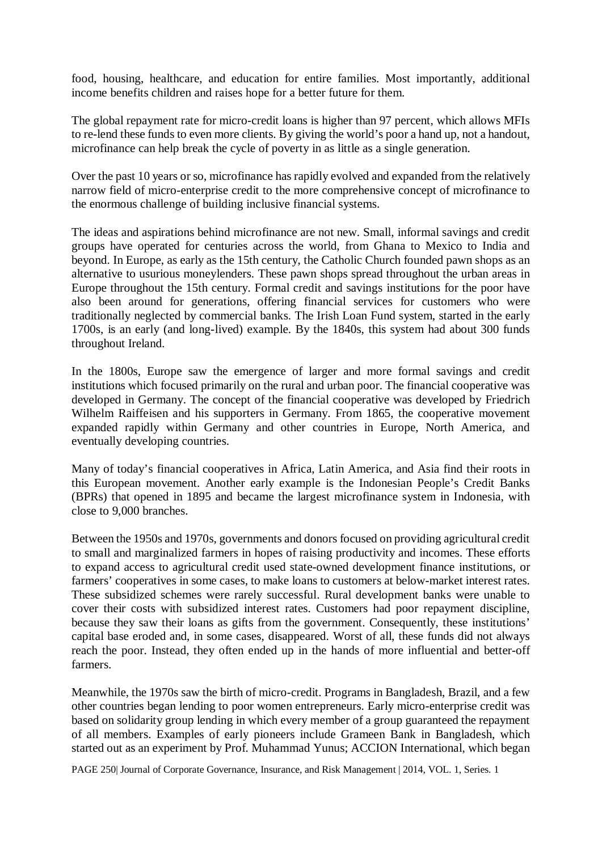food, housing, healthcare, and education for entire families. Most importantly, additional income benefits children and raises hope for a better future for them.

The global repayment rate for micro-credit loans is higher than 97 percent, which allows MFIs to re-lend these funds to even more clients. By giving the world's poor a hand up, not a handout, microfinance can help break the cycle of poverty in as little as a single generation.

Over the past 10 years or so, microfinance has rapidly evolved and expanded from the relatively narrow field of micro-enterprise credit to the more comprehensive concept of microfinance to the enormous challenge of building inclusive financial systems.

The ideas and aspirations behind microfinance are not new. Small, informal savings and credit groups have operated for centuries across the world, from Ghana to Mexico to India and beyond. In Europe, as early as the 15th century, the Catholic Church founded pawn shops as an alternative to usurious moneylenders. These pawn shops spread throughout the urban areas in Europe throughout the 15th century. Formal credit and savings institutions for the poor have also been around for generations, offering financial services for customers who were traditionally neglected by commercial banks. The Irish Loan Fund system, started in the early 1700s, is an early (and long-lived) example. By the 1840s, this system had about 300 funds throughout Ireland.

In the 1800s, Europe saw the emergence of larger and more formal savings and credit institutions which focused primarily on the rural and urban poor. The financial cooperative was developed in Germany. The concept of the financial cooperative was developed by Friedrich Wilhelm Raiffeisen and his supporters in Germany. From 1865, the cooperative movement expanded rapidly within Germany and other countries in Europe, North America, and eventually developing countries.

Many of today's financial cooperatives in Africa, Latin America, and Asia find their roots in this European movement. Another early example is the Indonesian People's Credit Banks (BPRs) that opened in 1895 and became the largest microfinance system in Indonesia, with close to 9,000 branches.

Between the 1950s and 1970s, governments and donors focused on providing agricultural credit to small and marginalized farmers in hopes of raising productivity and incomes. These efforts to expand access to agricultural credit used state-owned development finance institutions, or farmers' cooperatives in some cases, to make loans to customers at below-market interest rates. These subsidized schemes were rarely successful. Rural development banks were unable to cover their costs with subsidized interest rates. Customers had poor repayment discipline, because they saw their loans as gifts from the government. Consequently, these institutions' capital base eroded and, in some cases, disappeared. Worst of all, these funds did not always reach the poor. Instead, they often ended up in the hands of more influential and better-off farmers.

Meanwhile, the 1970s saw the birth of micro-credit. Programs in Bangladesh, Brazil, and a few other countries began lending to poor women entrepreneurs. Early micro-enterprise credit was based on solidarity group lending in which every member of a group guaranteed the repayment of all members. Examples of early pioneers include Grameen Bank in Bangladesh, which started out as an experiment by Prof. Muhammad Yunus; ACCION International, which began

PAGE 250| Journal of Corporate Governance, Insurance, and Risk Management | 2014, VOL. 1, Series. 1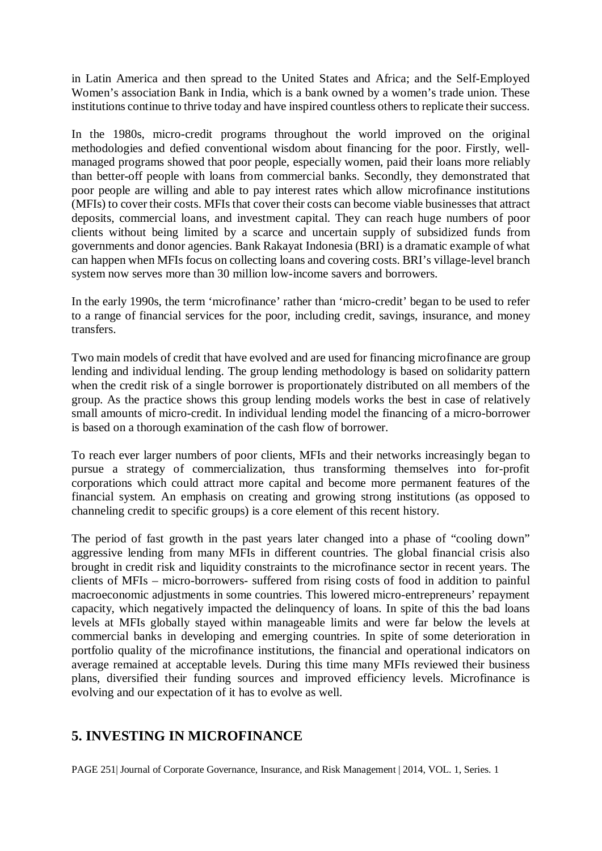in Latin America and then spread to the United States and Africa; and the Self-Employed Women's association Bank in India, which is a bank owned by a women's trade union. These institutions continue to thrive today and have inspired countless others to replicate their success.

In the 1980s, micro-credit programs throughout the world improved on the original methodologies and defied conventional wisdom about financing for the poor. Firstly, wellmanaged programs showed that poor people, especially women, paid their loans more reliably than better-off people with loans from commercial banks. Secondly, they demonstrated that poor people are willing and able to pay interest rates which allow microfinance institutions (MFIs) to cover their costs. MFIs that cover their costs can become viable businesses that attract deposits, commercial loans, and investment capital. They can reach huge numbers of poor clients without being limited by a scarce and uncertain supply of subsidized funds from governments and donor agencies. Bank Rakayat Indonesia (BRI) is a dramatic example of what can happen when MFIs focus on collecting loans and covering costs. BRI's village-level branch system now serves more than 30 million low-income savers and borrowers.

In the early 1990s, the term 'microfinance' rather than 'micro-credit' began to be used to refer to a range of financial services for the poor, including credit, savings, insurance, and money transfers.

Two main models of credit that have evolved and are used for financing microfinance are group lending and individual lending. The group lending methodology is based on solidarity pattern when the credit risk of a single borrower is proportionately distributed on all members of the group. As the practice shows this group lending models works the best in case of relatively small amounts of micro-credit. In individual lending model the financing of a micro-borrower is based on a thorough examination of the cash flow of borrower.

To reach ever larger numbers of poor clients, MFIs and their networks increasingly began to pursue a strategy of commercialization, thus transforming themselves into for-profit corporations which could attract more capital and become more permanent features of the financial system. An emphasis on creating and growing strong institutions (as opposed to channeling credit to specific groups) is a core element of this recent history.

The period of fast growth in the past years later changed into a phase of "cooling down" aggressive lending from many MFIs in different countries. The global financial crisis also brought in credit risk and liquidity constraints to the microfinance sector in recent years. The clients of MFIs – micro-borrowers- suffered from rising costs of food in addition to painful macroeconomic adjustments in some countries. This lowered micro-entrepreneurs' repayment capacity, which negatively impacted the delinquency of loans. In spite of this the bad loans levels at MFIs globally stayed within manageable limits and were far below the levels at commercial banks in developing and emerging countries. In spite of some deterioration in portfolio quality of the microfinance institutions, the financial and operational indicators on average remained at acceptable levels. During this time many MFIs reviewed their business plans, diversified their funding sources and improved efficiency levels. Microfinance is evolving and our expectation of it has to evolve as well.

## **5. INVESTING IN MICROFINANCE**

PAGE 251| Journal of Corporate Governance, Insurance, and Risk Management | 2014, VOL. 1, Series. 1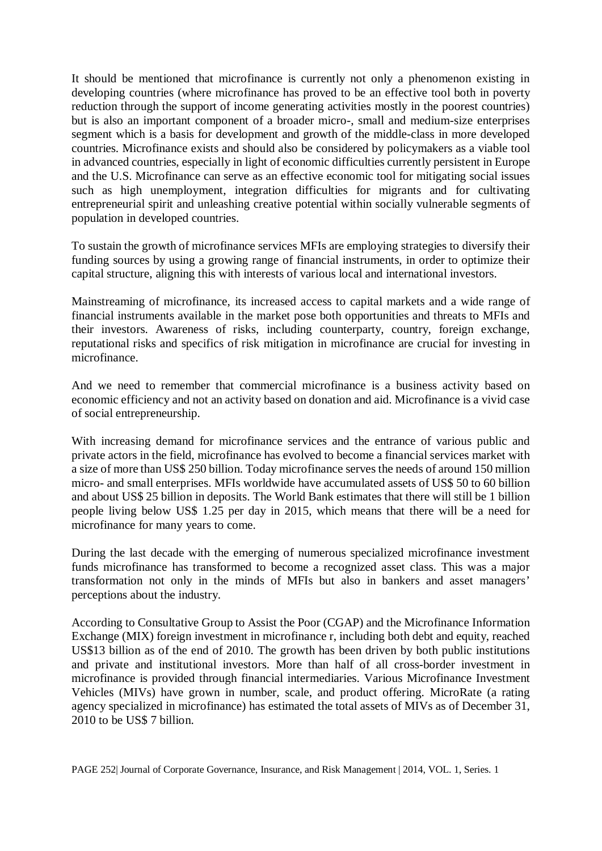It should be mentioned that microfinance is currently not only a phenomenon existing in developing countries (where microfinance has proved to be an effective tool both in poverty reduction through the support of income generating activities mostly in the poorest countries) but is also an important component of a broader micro-, small and medium-size enterprises segment which is a basis for development and growth of the middle-class in more developed countries. Microfinance exists and should also be considered by policymakers as a viable tool in advanced countries, especially in light of economic difficulties currently persistent in Europe and the U.S. Microfinance can serve as an effective economic tool for mitigating social issues such as high unemployment, integration difficulties for migrants and for cultivating entrepreneurial spirit and unleashing creative potential within socially vulnerable segments of population in developed countries.

To sustain the growth of microfinance services MFIs are employing strategies to diversify their funding sources by using a growing range of financial instruments, in order to optimize their capital structure, aligning this with interests of various local and international investors.

Mainstreaming of microfinance, its increased access to capital markets and a wide range of financial instruments available in the market pose both opportunities and threats to MFIs and their investors. Awareness of risks, including counterparty, country, foreign exchange, reputational risks and specifics of risk mitigation in microfinance are crucial for investing in microfinance.

And we need to remember that commercial microfinance is a business activity based on economic efficiency and not an activity based on donation and aid. Microfinance is a vivid case of social entrepreneurship.

With increasing demand for microfinance services and the entrance of various public and private actors in the field, microfinance has evolved to become a financial services market with a size of more than US\$ 250 billion. Today microfinance serves the needs of around 150 million micro- and small enterprises. MFIs worldwide have accumulated assets of US\$ 50 to 60 billion and about US\$ 25 billion in deposits. The World Bank estimates that there will still be 1 billion people living below US\$ 1.25 per day in 2015, which means that there will be a need for microfinance for many years to come.

During the last decade with the emerging of numerous specialized microfinance investment funds microfinance has transformed to become a recognized asset class. This was a major transformation not only in the minds of MFIs but also in bankers and asset managers' perceptions about the industry.

According to Consultative Group to Assist the Poor (CGAP) and the Microfinance Information Exchange (MIX) foreign investment in microfinance r, including both debt and equity, reached US\$13 billion as of the end of 2010. The growth has been driven by both public institutions and private and institutional investors. More than half of all cross-border investment in microfinance is provided through financial intermediaries. Various Microfinance Investment Vehicles (MIVs) have grown in number, scale, and product offering. MicroRate (a rating agency specialized in microfinance) has estimated the total assets of MIVs as of December 31, 2010 to be US\$ 7 billion.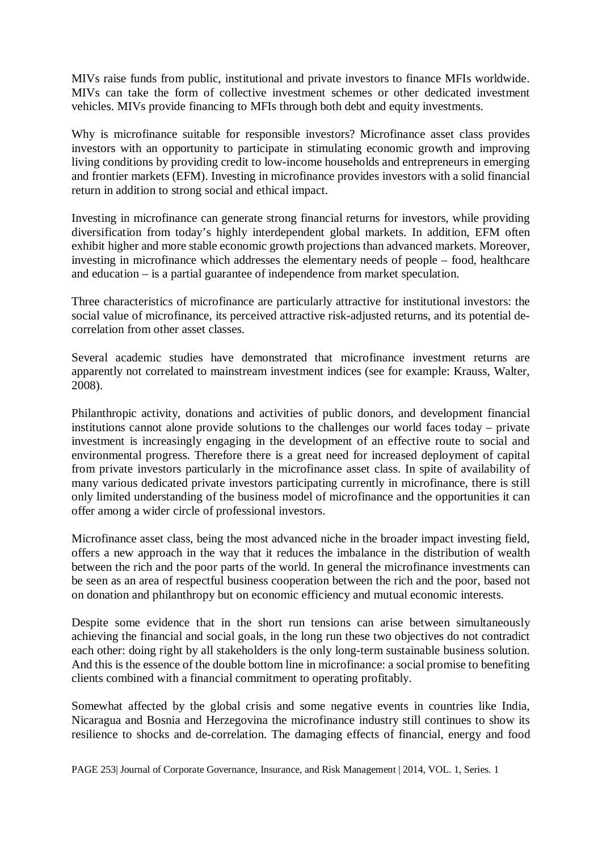MIVs raise funds from public, institutional and private investors to finance MFIs worldwide. MIVs can take the form of collective investment schemes or other dedicated investment vehicles. MIVs provide financing to MFIs through both debt and equity investments.

Why is microfinance suitable for responsible investors? Microfinance asset class provides investors with an opportunity to participate in stimulating economic growth and improving living conditions by providing credit to low-income households and entrepreneurs in emerging and frontier markets (EFM). Investing in microfinance provides investors with a solid financial return in addition to strong social and ethical impact.

Investing in microfinance can generate strong financial returns for investors, while providing diversification from today's highly interdependent global markets. In addition, EFM often exhibit higher and more stable economic growth projections than advanced markets. Moreover, investing in microfinance which addresses the elementary needs of people – food, healthcare and education – is a partial guarantee of independence from market speculation.

Three characteristics of microfinance are particularly attractive for institutional investors: the social value of microfinance, its perceived attractive risk-adjusted returns, and its potential decorrelation from other asset classes.

Several academic studies have demonstrated that microfinance investment returns are apparently not correlated to mainstream investment indices (see for example: Krauss, Walter, 2008).

Philanthropic activity, donations and activities of public donors, and development financial institutions cannot alone provide solutions to the challenges our world faces today – private investment is increasingly engaging in the development of an effective route to social and environmental progress. Therefore there is a great need for increased deployment of capital from private investors particularly in the microfinance asset class. In spite of availability of many various dedicated private investors participating currently in microfinance, there is still only limited understanding of the business model of microfinance and the opportunities it can offer among a wider circle of professional investors.

Microfinance asset class, being the most advanced niche in the broader impact investing field, offers a new approach in the way that it reduces the imbalance in the distribution of wealth between the rich and the poor parts of the world. In general the microfinance investments can be seen as an area of respectful business cooperation between the rich and the poor, based not on donation and philanthropy but on economic efficiency and mutual economic interests.

Despite some evidence that in the short run tensions can arise between simultaneously achieving the financial and social goals, in the long run these two objectives do not contradict each other: doing right by all stakeholders is the only long-term sustainable business solution. And this is the essence of the double bottom line in microfinance: a social promise to benefiting clients combined with a financial commitment to operating profitably.

Somewhat affected by the global crisis and some negative events in countries like India, Nicaragua and Bosnia and Herzegovina the microfinance industry still continues to show its resilience to shocks and de-correlation. The damaging effects of financial, energy and food

PAGE 253| Journal of Corporate Governance, Insurance, and Risk Management | 2014, VOL. 1, Series. 1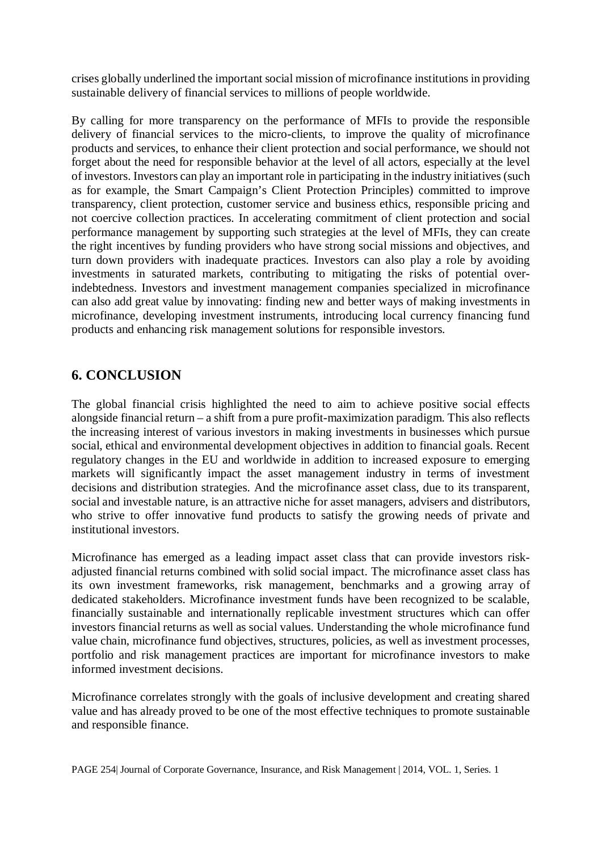crises globally underlined the important social mission of microfinance institutions in providing sustainable delivery of financial services to millions of people worldwide.

By calling for more transparency on the performance of MFIs to provide the responsible delivery of financial services to the micro-clients, to improve the quality of microfinance products and services, to enhance their client protection and social performance, we should not forget about the need for responsible behavior at the level of all actors, especially at the level of investors. Investors can play an important role in participating in the industry initiatives (such as for example, the Smart Campaign's Client Protection Principles) committed to improve transparency, client protection, customer service and business ethics, responsible pricing and not coercive collection practices. In accelerating commitment of client protection and social performance management by supporting such strategies at the level of MFIs, they can create the right incentives by funding providers who have strong social missions and objectives, and turn down providers with inadequate practices. Investors can also play a role by avoiding investments in saturated markets, contributing to mitigating the risks of potential overindebtedness. Investors and investment management companies specialized in microfinance can also add great value by innovating: finding new and better ways of making investments in microfinance, developing investment instruments, introducing local currency financing fund products and enhancing risk management solutions for responsible investors.

## **6. CONCLUSION**

The global financial crisis highlighted the need to aim to achieve positive social effects alongside financial return – a shift from a pure profit-maximization paradigm. This also reflects the increasing interest of various investors in making investments in businesses which pursue social, ethical and environmental development objectives in addition to financial goals. Recent regulatory changes in the EU and worldwide in addition to increased exposure to emerging markets will significantly impact the asset management industry in terms of investment decisions and distribution strategies. And the microfinance asset class, due to its transparent, social and investable nature, is an attractive niche for asset managers, advisers and distributors, who strive to offer innovative fund products to satisfy the growing needs of private and institutional investors.

Microfinance has emerged as a leading impact asset class that can provide investors riskadjusted financial returns combined with solid social impact. The microfinance asset class has its own investment frameworks, risk management, benchmarks and a growing array of dedicated stakeholders. Microfinance investment funds have been recognized to be scalable, financially sustainable and internationally replicable investment structures which can offer investors financial returns as well as social values. Understanding the whole microfinance fund value chain, microfinance fund objectives, structures, policies, as well as investment processes, portfolio and risk management practices are important for microfinance investors to make informed investment decisions.

Microfinance correlates strongly with the goals of inclusive development and creating shared value and has already proved to be one of the most effective techniques to promote sustainable and responsible finance.

PAGE 254| Journal of Corporate Governance, Insurance, and Risk Management | 2014, VOL. 1, Series. 1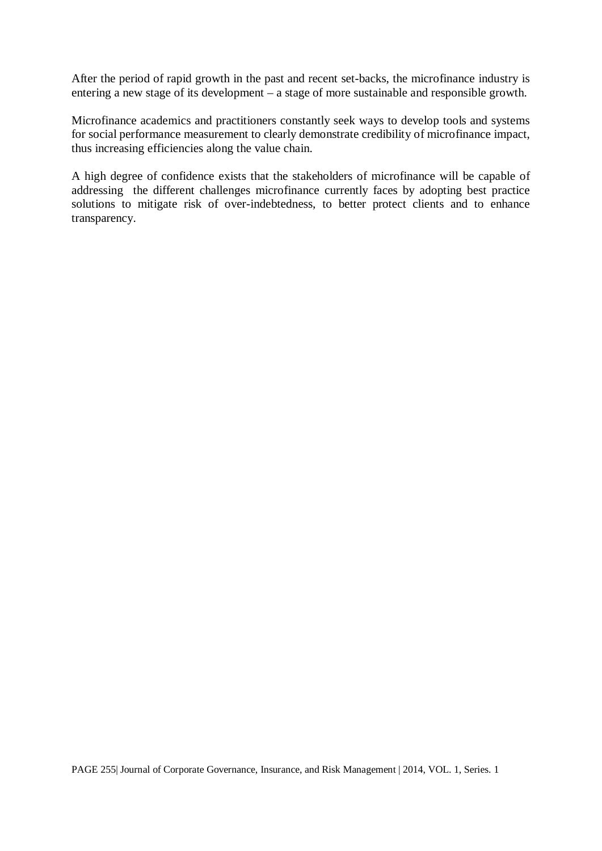After the period of rapid growth in the past and recent set-backs, the microfinance industry is entering a new stage of its development – a stage of more sustainable and responsible growth.

Microfinance academics and practitioners constantly seek ways to develop tools and systems for social performance measurement to clearly demonstrate credibility of microfinance impact, thus increasing efficiencies along the value chain.

A high degree of confidence exists that the stakeholders of microfinance will be capable of addressing the different challenges microfinance currently faces by adopting best practice solutions to mitigate risk of over-indebtedness, to better protect clients and to enhance transparency.